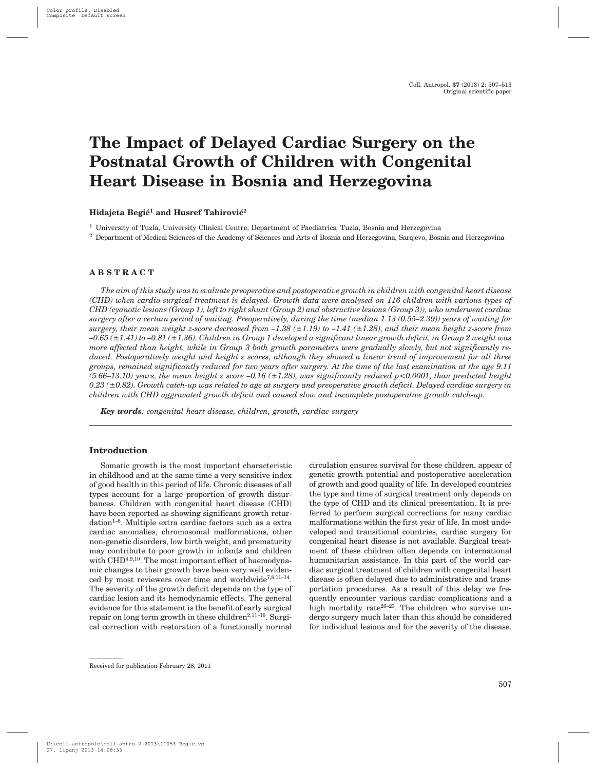# **The Impact of Delayed Cardiac Surgery on the Postnatal Growth of Children with Congenital Heart Disease in Bosnia and Herzegovina**

#### **Hidajeta Begić<sup>1</sup> and Husref Tahirović<sup>2</sup>**

<sup>1</sup> University of Tuzla, University Clinical Centre, Department of Paediatrics, Tuzla, Bosnia and Herzegovina

<sup>2</sup> Department of Medical Sciences of the Academy of Sciences and Arts of Bosnia and Herzegovina, Sarajevo, Bosnia and Herzegovina

#### **ABSTRACT**

*The aim of this study was to evaluate preoperative and postoperative growth in children with congenital heart disease (CHD) when cardio-surgical treatment is delayed. Growth data were analysed on 116 children with various types of CHD (cyanotic lesions (Group 1), left to right shunt (Group 2) and obstructive lesions (Group 3)), who underwent cardiac surgery after a certain period of waiting. Preoperatively, during the time (median 1.13 (0.55–2.39)) years of waiting for surgery, their mean weight z-score decreased from –1.38 (±1.19) to –1.41 (±1.28), and their mean height z-score from –0.65 (±1.41) to –0.81 (±1.36). Children in Group 1 developed a significant linear growth deficit, in Group 2 weight was more affected than height, while in Group 3 both growth parameters were gradually slowly, but not significantly reduced. Postoperatively weight and height z scores, although they showed a linear trend of improvement for all three groups, remained significantly reduced for two years after surgery. At the time of the last examination at the age 9.11*  $(5.66-13.10)$  years, the mean height z score  $-0.16$  ( $\pm 1.28$ ), was significantly reduced p <0.0001, than predicted height *0.23 (±0.82). Growth catch-up was related to age at surgery and preoperative growth deficit. Delayed cardiac surgery in children with CHD aggravated growth deficit and caused slow and incomplete postoperative growth catch-up.*

*Key words: congenital heart disease, children, growth, cardiac surgery*

## **Introduction**

Somatic growth is the most important characteristic in childhood and at the same time a very sensitive index of good health in this period of life. Chronic diseases of all types account for a large proportion of growth disturbances. Children with congenital heart disease (CHD) have been reported as showing significant growth retardation<sup>1-8</sup>. Multiple extra cardiac factors such as a extra cardiac anomalies, chromosomal malformations, other non-genetic disorders, low birth weight, and prematurity may contribute to poor growth in infants and children with CHD<sup>4,9,10</sup>. The most important effect of haemodynamic changes to their growth have been very well evidenced by most reviewers over time and worldwide<sup>7,8,11-14</sup>. The severity of the growth deficit depends on the type of cardiac lesion and its hemodynamic effects. The general evidence for this statement is the benefit of early surgical repair on long term growth in these children<sup>2,11-19</sup>. Surgical correction with restoration of a functionally normal

circulation ensures survival for these children, appear of genetic growth potential and postoperative acceleration of growth and good quality of life. In developed countries the type and time of surgical treatment only depends on the type of CHD and its clinical presentation. It is preferred to perform surgical corrections for many cardiac malformations within the first year of life. In most undeveloped and transitional countries, cardiac surgery for congenital heart disease is not available. Surgical treatment of these children often depends on international humanitarian assistance. In this part of the world cardiac surgical treatment of children with congenital heart disease is often delayed due to administrative and transportation procedures. As a result of this delay we frequently encounter various cardiac complications and a high mortality rate<sup>20–23</sup>. The children who survive undergo surgery much later than this should be considered for individual lesions and for the severity of the disease.

Received for publication February 28, 2011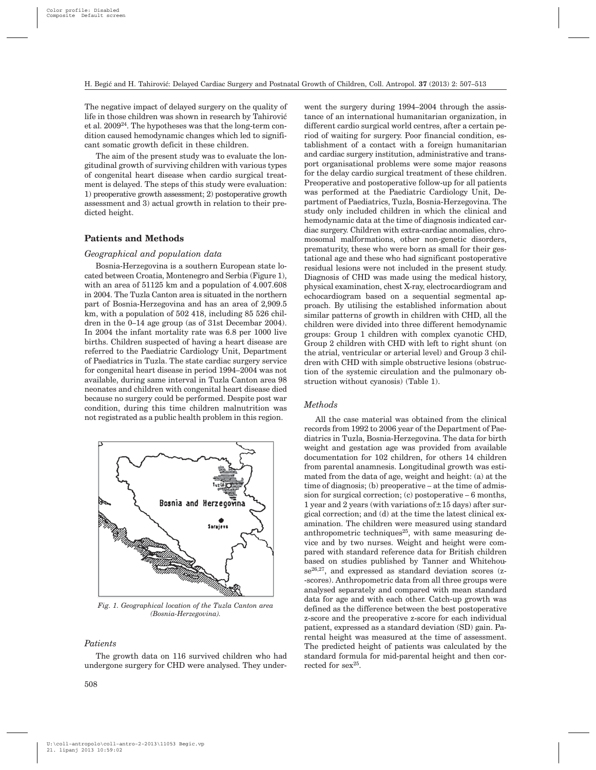The negative impact of delayed surgery on the quality of life in those children was shown in research by Tahirović et al. 200924. The hypotheses was that the long-term condition caused hemodynamic changes which led to significant somatic growth deficit in these children.

The aim of the present study was to evaluate the longitudinal growth of surviving children with various types of congenital heart disease when cardio surgical treatment is delayed. The steps of this study were evaluation: 1) preoperative growth assessment; 2) postoperative growth assessment and 3) actual growth in relation to their predicted height.

## **Patients and Methods**

## *Geographical and population data*

Bosnia-Herzegovina is a southern European state located between Croatia, Montenegro and Serbia (Figure 1), with an area of 51125 km and a population of 4.007.608 in 2004. The Tuzla Canton area is situated in the northern part of Bosnia-Herzegovina and has an area of 2,909.5 km, with a population of 502 418, including 85 526 children in the 0–14 age group (as of 31st Decembar 2004). In 2004 the infant mortality rate was 6.8 per 1000 live births. Children suspected of having a heart disease are referred to the Paediatric Cardiology Unit, Department of Paediatrics in Tuzla. The state cardiac surgery service for congenital heart disease in period 1994–2004 was not available, during same interval in Tuzla Canton area 98 neonates and children with congenital heart disease died because no surgery could be performed. Despite post war condition, during this time children malnutrition was not registrated as a public health problem in this region.



*Fig. 1. Geographical location of the Tuzla Canton area (Bosnia-Herzegovina).*

#### *Patients*

The growth data on 116 survived children who had undergone surgery for CHD were analysed. They under-

went the surgery during 1994–2004 through the assistance of an international humanitarian organization, in different cardio surgical world centres, after a certain period of waiting for surgery. Poor financial condition, establishment of a contact with a foreign humanitarian and cardiac surgery institution, administrative and transport organisational problems were some major reasons for the delay cardio surgical treatment of these children. Preoperative and postoperative follow-up for all patients was performed at the Paediatric Cardiology Unit, Department of Paediatrics, Tuzla, Bosnia-Herzegovina. The study only included children in which the clinical and hemodynamic data at the time of diagnosis indicated cardiac surgery. Children with extra-cardiac anomalies, chromosomal malformations, other non-genetic disorders, prematurity, these who were born as small for their gestational age and these who had significant postoperative residual lesions were not included in the present study. Diagnosis of CHD was made using the medical history, physical examination, chest X-ray, electrocardiogram and echocardiogram based on a sequential segmental approach. By utilising the established information about similar patterns of growth in children with CHD, all the children were divided into three different hemodynamic groups: Group 1 children with complex cyanotic CHD, Group 2 children with CHD with left to right shunt (on the atrial, ventricular or arterial level) and Group 3 children with CHD with simple obstructive lesions (obstruction of the systemic circulation and the pulmonary obstruction without cyanosis) (Table 1).

#### *Methods*

All the case material was obtained from the clinical records from 1992 to 2006 year of the Department of Paediatrics in Tuzla, Bosnia-Herzegovina. The data for birth weight and gestation age was provided from available documentation for 102 children, for others 14 children from parental anamnesis. Longitudinal growth was estimated from the data of age, weight and height: (a) at the time of diagnosis; (b) preoperative – at the time of admission for surgical correction; (c) postoperative – 6 months, 1 year and 2 years (with variations of  $\pm$  15 days) after surgical correction; and (d) at the time the latest clinical examination. The children were measured using standard anthropometric techniques<sup>25</sup>, with same measuring device and by two nurses. Weight and height were compared with standard reference data for British children based on studies published by Tanner and Whitehouse<sup>26,27</sup>, and expressed as standard deviation scores (z--scores). Anthropometric data from all three groups were analysed separately and compared with mean standard data for age and with each other. Catch-up growth was defined as the difference between the best postoperative z-score and the preoperative z-score for each individual patient, expressed as a standard deviation (SD) gain. Parental height was measured at the time of assessment. The predicted height of patients was calculated by the standard formula for mid-parental height and then corrected for  $sex^{25}$ .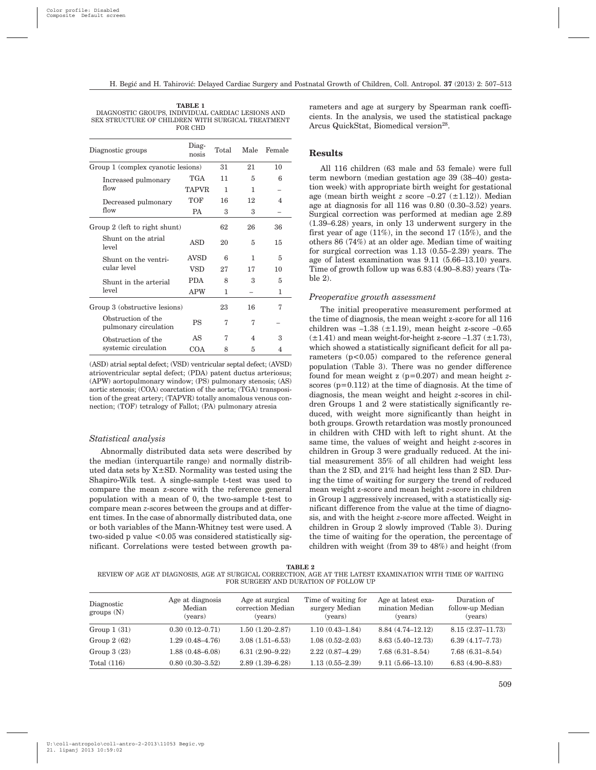| TABLE 1                                           |
|---------------------------------------------------|
| DIAGNOSTIC GROUPS, INDIVIDUAL CARDIAC LESIONS AND |
| SEX STRUCTURE OF CHILDREN WITH SURGICAL TREATMENT |
| FOR CHD                                           |

| Diagnostic groups                           | Diag-<br>nosis | Total |    | Male Female |
|---------------------------------------------|----------------|-------|----|-------------|
| Group 1 (complex cyanotic lesions)          |                | 31    | 21 | 10          |
| Increased pulmonary                         | <b>TGA</b>     | 11    | 5  | 6           |
| flow                                        | <b>TAPVR</b>   | 1     | 1  |             |
| Decreased pulmonary                         | <b>TOF</b>     | 16    | 12 | 4           |
| flow                                        | PA             | 3     | 3  |             |
| Group 2 (left to right shunt)               |                | 62    | 26 | 36          |
| Shunt on the atrial<br>level                | <b>ASD</b>     | 20    | 5  | 15          |
| Shunt on the ventri-                        | <b>AVSD</b>    | 6     | 1  | 5           |
| cular level                                 | VSD            | 27    | 17 | 10          |
| Shunt in the arterial                       | <b>PDA</b>     | 8     | 3  | 5           |
| level                                       | <b>APW</b>     | 1     |    | 1           |
| Group 3 (obstructive lesions)               |                | 23    | 16 | 7           |
| Obstruction of the<br>pulmonary circulation | <b>PS</b>      | 7     | 7  |             |
| Obstruction of the                          | AS             | 7     | 4  | 3           |
| systemic circulation                        | <b>COA</b>     | 8     | 5  | 4           |

(ASD) atrial septal defect; (VSD) ventricular septal defect; (AVSD) atrioventricular septal defect; (PDA) patent ductus arteriosus; (APW) aortopulmonary window; (PS) pulmonary stenosis; (AS) aortic stenosis; (COA) coarctation of the aorta; (TGA) transposition of the great artery; (TAPVR) totally anomalous venous connection; (TOF) tetralogy of Fallot; (PA) pulmonary atresia

#### *Statistical analysis*

Abnormally distributed data sets were described by the median (interquartile range) and normally distributed data sets by  $X \pm SD$ . Normality was tested using the Shapiro-Wilk test. A single-sample t-test was used to compare the mean z-score with the reference general population with a mean of 0, the two-sample t-test to compare mean *z*-scores between the groups and at different times. In the case of abnormally distributed data, one or both variables of the Mann-Whitney test were used. A two-sided p value <0.05 was considered statistically significant. Correlations were tested between growth parameters and age at surgery by Spearman rank coefficients. In the analysis, we used the statistical package Arcus QuickStat, Biomedical version<sup>28</sup>.

#### **Results**

All 116 children (63 male and 53 female) were full term newborn (median gestation age 39 (38–40) gestation week) with appropriate birth weight for gestational age (mean birth weight  $z$  score  $-0.27$   $(\pm 1.12)$ ). Median age at diagnosis for all 116 was 0.80 (0.30–3.52) years. Surgical correction was performed at median age 2.89 (1.39–6.28) years, in only 13 underwent surgery in the first year of age (11%), in the second 17 (15%), and the others 86 (74%) at an older age. Median time of waiting for surgical correction was 1.13 (0.55–2.39) years. The age of latest examination was 9.11 (5.66–13.10) years. Time of growth follow up was 6.83 (4.90–8.83) years (Ta $h \geq 2$ 

#### *Preoperative growth assessment*

The initial preoperative measurement performed at the time of diagnosis, the mean weight z-score for all 116 children was  $-1.38$  ( $\pm 1.19$ ), mean height z-score  $-0.65$  $(\pm 1.41)$  and mean weight-for-height z-score  $-1.37$   $(\pm 1.73)$ , which showed a statistically significant deficit for all parameters  $(p<0.05)$  compared to the reference general population (Table 3). There was no gender difference found for mean weight z (p=0.207) and mean height *z*scores  $(p=0.112)$  at the time of diagnosis. At the time of diagnosis, the mean weight and height *z*-scores in children Groups 1 and 2 were statistically significantly reduced, with weight more significantly than height in both groups. Growth retardation was mostly pronounced in children with CHD with left to right shunt. At the same time, the values of weight and height *z*-scores in children in Group 3 were gradually reduced. At the initial measurement 35% of all children had weight less than the 2 SD, and 21% had height less than 2 SD. During the time of waiting for surgery the trend of reduced mean weight z-score and mean height *z*-score in children in Group 1 aggressively increased, with a statistically significant difference from the value at the time of diagnosis, and with the height *z*-score more affected. Weight in children in Group 2 slowly improved (Table 3). During the time of waiting for the operation, the percentage of children with weight (from 39 to 48%) and height (from

**TABLE 2**

REVIEW OF AGE AT DIAGNOSIS, AGE AT SURGICAL CORRECTION, AGE AT THE LATEST EXAMINATION WITH TIME OF WAITING FOR SURGERY AND DURATION OF FOLLOW UP

| Diagnostic<br>groups (N) | Age at diagnosis<br>Median<br>(years) | Age at surgical<br>correction Median<br>(years) | Time of waiting for<br>surgery Median<br>(years) | Age at latest exa-<br>mination Median<br>(years) | Duration of<br>follow-up Median<br>(years) |
|--------------------------|---------------------------------------|-------------------------------------------------|--------------------------------------------------|--------------------------------------------------|--------------------------------------------|
| Group $1(31)$            | $0.30(0.12 - 0.71)$                   | $1.50(1.20-2.87)$                               | $1.10(0.43 - 1.84)$                              | $8.84(4.74 - 12.12)$                             | $8.15(2.37 - 11.73)$                       |
| Group $2(62)$            | $1.29(0.48 - 4.76)$                   | $3.08(1.51 - 6.53)$                             | $1.08(0.52 - 2.03)$                              | $8.63(5.40 - 12.73)$                             | $6.39(4.17 - 7.73)$                        |
| Group $3(23)$            | $1.88(0.48 - 6.08)$                   | $6.31(2.90-9.22)$                               | $2.22(0.87 - 4.29)$                              | $7.68(6.31 - 8.54)$                              | $7.68(6.31 - 8.54)$                        |
| Total $(116)$            | $0.80(0.30-3.52)$                     | $2.89(1.39 - 6.28)$                             | $1.13(0.55 - 2.39)$                              | $9.11(5.66 - 13.10)$                             | $6.83(4.90 - 8.83)$                        |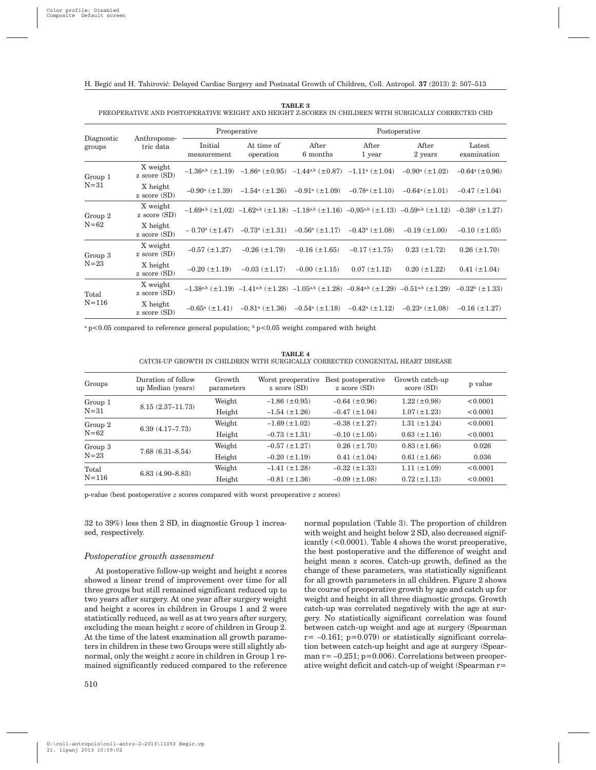| Diagnostic<br>groups | Anthropome-<br>tric data     |                                | Preoperative            | Postoperative                                                                                               |                    |                                                                                                               |                                |
|----------------------|------------------------------|--------------------------------|-------------------------|-------------------------------------------------------------------------------------------------------------|--------------------|---------------------------------------------------------------------------------------------------------------|--------------------------------|
|                      |                              | Initial<br>measurement         | At time of<br>operation | After<br>6 months                                                                                           | After<br>1 year    | After<br>2 years                                                                                              | Latest<br>examination          |
| Group 1<br>$N = 31$  | X weight<br>$z$ score $(SD)$ |                                |                         | $-1.36^{a,b} (\pm 1.19) -1.86^a (\pm 0.95) -1.44^{a,b} (\pm 0.87) -1.11^a (\pm 1.04)$                       |                    | $-0.90^{\rm a}$ ( $\pm 1.02$ )                                                                                | $-0.64^a (\pm 0.96)$           |
|                      | X height<br>$z$ score $(SD)$ |                                |                         | $-0.90^{\text{a}}$ (±1.39) $-1.54^{\text{a}}$ (±1.26) $-0.91^{\text{a}}$ (±1.09) $-0.78^{\text{a}}$ (±1.10) |                    | $-0.64^a (\pm 1.01)$                                                                                          | $-0.47$ ( $\pm$ 1.04)          |
| Group 2<br>$N = 62$  | X weight<br>$z$ score $(SD)$ |                                |                         |                                                                                                             |                    | $-1.69^{a,b}$ (±1,02) $-1.62^{a,b}$ (±1,18) $-1.18^{a,b}$ (±1,16) $-0.95^{a,b}$ (±1,13) $-0.59^{a,b}$ (±1,12) | $-0.38^{\rm b}$ ( $\pm 1.27$ ) |
|                      | X height<br>$z$ score $(SD)$ |                                |                         | $-0.70^{\text{a}}$ (±1.47) $-0.73^{\text{a}}$ (±1.31) $-0.56^{\text{a}}$ (±1.17) $-0.43^{\text{a}}$ (±1.08) |                    | $-0.19$ ( $\pm 1.00$ )                                                                                        | $-0.10$ ( $\pm 1.05$ )         |
| Group 3<br>$N=23$    | X weight<br>$z$ score $(SD)$ | $-0.57$ ( $\pm$ 1.27)          | $-0.26~(\pm 1.79)$      | $-0.16$ ( $\pm 1.65$ )                                                                                      | $-0.17 (\pm 1.75)$ | $0.23 (\pm 1.72)$                                                                                             | $0.26~(\pm 1.70)$              |
|                      | X height<br>$z$ score $(SD)$ | $-0.20~(\pm 1.19)$             | $-0.03~(\pm 1.17)$      | $-0.00$ ( $\pm$ 1.15)                                                                                       | $0.07 (\pm 1.12)$  | $0.20 (\pm 1.22)$                                                                                             | $0.41 (\pm 1.04)$              |
| Total<br>$N = 116$   | X weight<br>$z$ score $(SD)$ |                                |                         |                                                                                                             |                    | $-1.38^{a,b}$ (±1.19) $-1.41^{a,b}$ (±1.28) $-1.05^{a,b}$ (±1.28) $-0.84^{a,b}$ (±1.29) $-0.51^{a,b}$ (±1.29) | $-0.32^b$ ( $\pm$ 1.33)        |
|                      | X height<br>$z$ score $(SD)$ | $-0.65^{\rm a}$ ( $\pm 1.41$ ) |                         | $-0.81^{\text{a}} (\pm 1.36) -0.54^{\text{a}} (\pm 1.18) -0.42^{\text{a}} (\pm 1.12)$                       |                    | $-0.23^{\rm a}$ ( $\pm 1.08$ )                                                                                | $-0.16$ ( $\pm$ 1.27)          |

**TABLE 3** PREOPERATIVE AND POSTOPERATIVE WEIGHT AND HEIGHT Z-SCORES IN CHILDREN WITH SURGICALLY CORRECTED CHD

<sup>a</sup> p<0.05 compared to reference general population;  $\frac{b}{p}$  p<0.05 weight compared with height

**TABLE 4** CATCH-UP GROWTH IN CHILDREN WITH SURGICALLY CORRECTED CONGENITAL HEART DISEASE

| Groups    | Duration of follow<br>up Median (years) | Growth<br>parameters | Worst preoperative<br>$z$ score $(SD)$ | Best postoperative<br>$z$ score $(SD)$ | Growth catch-up<br>score (SD) | p value  |
|-----------|-----------------------------------------|----------------------|----------------------------------------|----------------------------------------|-------------------------------|----------|
| Group 1   | $8.15(2.37 - 11.73)$                    | Weight               | $-1.86$ ( $\pm$ 0.95)                  | $-0.64$ ( $\pm 0.96$ )                 | $1.22 (\pm 0.98)$             | < 0.0001 |
| $N = 31$  |                                         | Height               | $-1.54$ ( $\pm 1.26$ )                 | $-0.47$ ( $\pm$ 1.04)                  | $1.07 (\pm 1.23)$             | < 0.0001 |
| Group 2   |                                         | Weight               | $-1.69 \ (\pm 1.02)$                   | $-0.38$ ( $\pm$ 1.27)                  | $1.31 (\pm 1.24)$             | < 0.0001 |
| $N = 62$  | $6.39(4.17 - 7.73)$                     | Height               | $-0.73$ ( $\pm$ 1.31)                  | $-0.10$ ( $\pm 1.05$ )                 | $0.63~(\pm 1.16)$             | < 0.0001 |
| Group 3   | $7.68(6.31 - 8.54)$                     | Weight               | $-0.57$ ( $\pm$ 1.27)                  | $0.26~(\pm 1.70)$                      | $0.83 \ (\pm 1.66)$           | 0.026    |
| $N=23$    |                                         | Height               | $-0.20$ ( $\pm$ 1.19)                  | $0.41 (\pm 1.04)$                      | $0.61 (\pm 1.66)$             | 0.036    |
| Total     |                                         | Weight               | $-1.41 (\pm 1.28)$                     | $-0.32$ ( $\pm$ 1.33)                  | $1.11 (\pm 1.09)$             | < 0.0001 |
| $N = 116$ | $6.83(4.90 - 8.83)$                     | Height               | $-0.81$ ( $\pm$ 1.36)                  | $-0.09$ ( $\pm$ 1.08)                  | $0.72 \ (\pm 1.13)$           | < 0.0001 |

p-value (best postoperative *z* scores compared with worst preoperative *z* scores)

32 to 39%) less then 2 SD, in diagnostic Group 1 increased, respectively.

## *Postoperative growth assessment*

At postoperative follow-up weight and height z scores showed a linear trend of improvement over time for all three groups but still remained significant reduced up to two years after surgery. At one year after surgery weight and height z scores in children in Groups 1 and 2 were statistically reduced, as well as at two years after surgery, excluding the mean height *z* score of children in Group 2. At the time of the latest examination all growth parameters in children in these two Groups were still slightly abnormal, only the weight *z* score in children in Group 1 remained significantly reduced compared to the reference

510

normal population (Table 3). The proportion of children with weight and height below 2 SD, also decreased significantly (<0.0001). Table 4 shows the worst preoperative, the best postoperative and the difference of weight and height mean z scores. Catch-up growth, defined as the change of these parameters, was statistically significant for all growth parameters in all children. Figure 2 shows the course of preoperative growth by age and catch up for weight and height in all three diagnostic groups. Growth catch-up was correlated negatively with the age at surgery. No statistically significant correlation was found between catch-up weight and age at surgery (Spearman  $r=-0.161$ ;  $p=0.079$  or statistically significant correlation between catch-up height and age at surgery (Spearman  $r = -0.251$ ;  $p=0.006$ ). Correlations between preoperative weight deficit and catch-up of weight (Spearman r=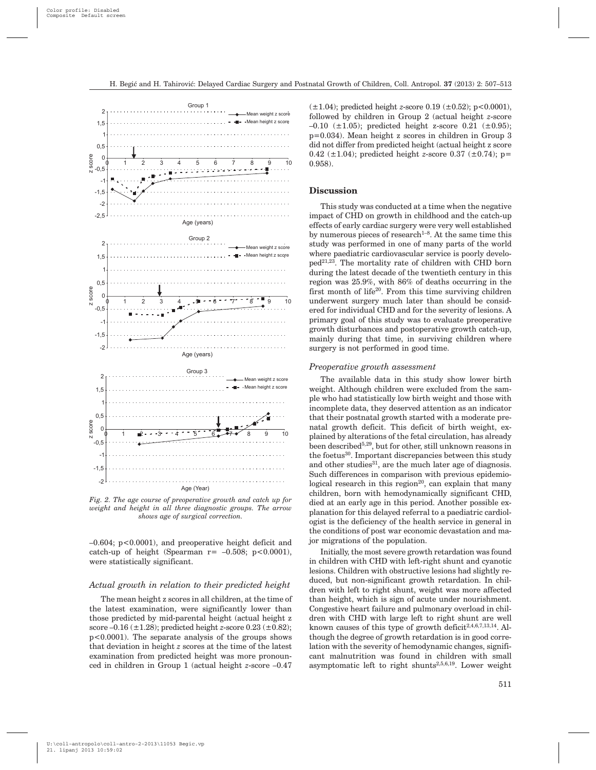



–0.604; p<0.0001), and preoperative height deficit and catch-up of height (Spearman  $r = -0.508$ ;  $p < 0.0001$ ). were statistically significant.

#### *Actual growth in relation to their predicted height*

The mean height z scores in all children, at the time of the latest examination, were significantly lower than those predicted by mid-parental height (actual height z score –0.16 (±1.28); predicted height *z*-score 0.23 (±0.82); p<0.0001). The separate analysis of the groups shows that deviation in height *z* scores at the time of the latest examination from predicted height was more pronounced in children in Group 1 (actual height *z*-score –0.47  $(\pm 1.04)$ ; predicted height *z*-score 0.19  $(\pm 0.52)$ ; p<0.0001). followed by children in Group 2 (actual height *z*-score  $-0.10$  ( $\pm 1.05$ ); predicted height z-score 0.21 ( $\pm 0.95$ ); p=0.034). Mean height z scores in children in Group 3 did not differ from predicted height (actual height z score 0.42 ( $\pm$ 1.04); predicted height *z*-score 0.37 ( $\pm$ 0.74); p= 0.958).

## **Discussion**

This study was conducted at a time when the negative impact of CHD on growth in childhood and the catch-up effects of early cardiac surgery were very well established by numerous pieces of research<sup>1-8</sup>. At the same time this study was performed in one of many parts of the world where paediatric cardiovascular service is poorly developed21,23. The mortality rate of children with CHD born during the latest decade of the twentieth century in this region was 25.9%, with 86% of deaths occurring in the first month of life20. From this time surviving children underwent surgery much later than should be considered for individual CHD and for the severity of lesions. A primary goal of this study was to evaluate preoperative growth disturbances and postoperative growth catch-up, mainly during that time, in surviving children where surgery is not performed in good time.

## *Preoperative growth assessment*

The available data in this study show lower birth weight. Although children were excluded from the sample who had statistically low birth weight and those with incomplete data, they deserved attention as an indicator that their postnatal growth started with a moderate prenatal growth deficit. This deficit of birth weight, explained by alterations of the fetal circulation, has already been described<sup>5,29</sup>, but for other, still unknown reasons in the foetus<sup>30</sup>. Important discrepancies between this study and other studies $31$ , are the much later age of diagnosis. Such differences in comparison with previous epidemiological research in this region<sup>20</sup>, can explain that many children, born with hemodynamically significant CHD, died at an early age in this period. Another possible explanation for this delayed referral to a paediatric cardiologist is the deficiency of the health service in general in the conditions of post war economic devastation and major migrations of the population.

Initially, the most severe growth retardation was found in children with CHD with left-right shunt and cyanotic lesions. Children with obstructive lesions had slightly reduced, but non-significant growth retardation. In children with left to right shunt, weight was more affected than height, which is sign of acute under nourishment. Congestive heart failure and pulmonary overload in children with CHD with large left to right shunt are well known causes of this type of growth deficit<sup>2,4,6,7,13,14</sup>. Although the degree of growth retardation is in good correlation with the severity of hemodynamic changes, significant malnutrition was found in children with small asymptomatic left to right shunts<sup>2,5,6,19</sup>. Lower weight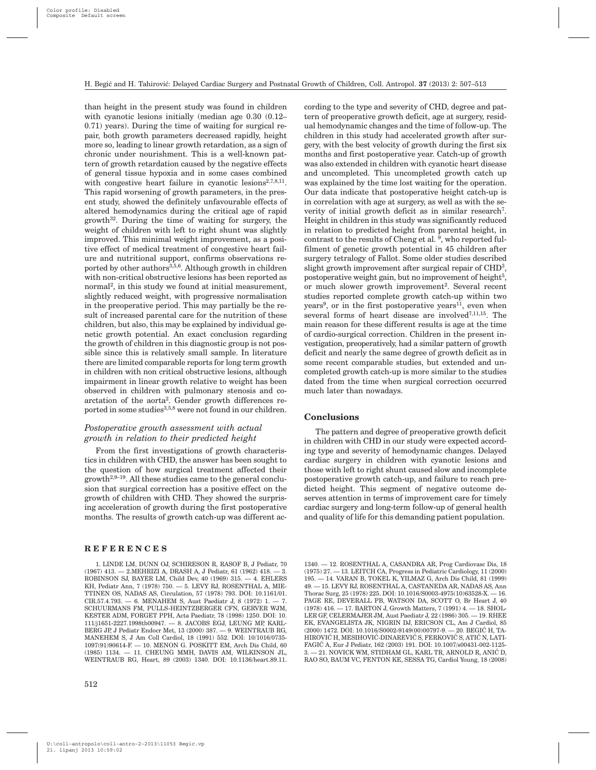than height in the present study was found in children with cyanotic lesions initially (median age 0.30 (0.12– 0.71) years). During the time of waiting for surgical repair, both growth parameters decreased rapidly, height more so, leading to linear growth retardation, as a sign of chronic under nourishment. This is a well-known pattern of growth retardation caused by the negative effects of general tissue hypoxia and in some cases combined with congestive heart failure in cyanotic lesions<sup>2,7,8,11</sup>. This rapid worsening of growth parameters, in the present study, showed the definitely unfavourable effects of altered hemodynamics during the critical age of rapid growth $32$ . During the time of waiting for surgery, the weight of children with left to right shunt was slightly improved. This minimal weight improvement, as a positive effect of medical treatment of congestive heart failure and nutritional support, confirms observations reported by other authors<sup>3,5,6</sup>. Although growth in children with non-critical obstructive lesions has been reported as normal<sup>2</sup>, in this study we found at initial measurement, slightly reduced weight, with progressive normalisation in the preoperative period. This may partially be the result of increased parental care for the nutrition of these children, but also, this may be explained by individual genetic growth potential. An exact conclusion regarding the growth of children in this diagnostic group is not possible since this is relatively small sample. In literature there are limited comparable reports for long term growth in children with non critical obstructive lesions, although impairment in linear growth relative to weight has been observed in children with pulmonary stenosis and coarctation of the aorta2. Gender growth differences reported in some studies<sup>3,5,8</sup> were not found in our children.

# *Postoperative growth assessment with actual growth in relation to their predicted height*

From the first investigations of growth characteristics in children with CHD, the answer has been sought to the question of how surgical treatment affected their growth2,9–19. All these studies came to the general conclusion that surgical correction has a positive effect on the growth of children with CHD. They showed the surprising acceleration of growth during the first postoperative months. The results of growth catch-up was different ac-

### **REFERENCES**

1. LINDE LM, DUNN OJ, SCHIRESON R, RASOF B, J Pediatr, 70 (1967) 413. — 2.MEHRIZI A, DRASH A, J Pediatr, 61 (1962) 418. — 3. ROBINSON SJ, BAYER LM, Child Dev, 40 (1969) 315. — 4. EHLERS KH, Pediatr Ann, 7 (1978) 750. — 5. LEVY RJ, ROSENTHAL A, MIE-TTINEN OS, NADAS AS, Circulation, 57 (1978) 793. DOI: 10.1161/01. CIR.57.4.793. — 6. MENAHEM S, Aust Paediatr J, 8 (1972) 1. — 7. SCHUURMANS FM, PULLS-HEINTZBERGER CFN, GERVER WJM, KESTER ADM, FORGET PPH, Acta Paediatr, 78 (1998) 1250. DOI: 10. 111/j1651-2227.1998tb00947. — 8. JACOBS EGJ, LEUNG MP, KARL-BERG JP, J Pediatr Endocr Met, 13 (2000) 387. — 9. WEINTRAUB RG, MANEHEM S, J Am Coll Cardiol, 18 (1991) 552. DOI: 10/1016/0735- 1097(91)90614-F. — 10. MENON G. POSKITT EM, Arch Dis Child, 60 (1985) 1134. — 11. CHEUNG MMH, DAVIS AM, WILKINSON JL, WEINTRAUB RG, Heart, 89 (2003) 1340. DOI: 10.1136/heart.89.11.

cording to the type and severity of CHD, degree and pattern of preoperative growth deficit, age at surgery, residual hemodynamic changes and the time of follow-up. The children in this study had accelerated growth after surgery, with the best velocity of growth during the first six months and first postoperative year. Catch-up of growth was also extended in children with cyanotic heart disease and uncompleted. This uncompleted growth catch up was explained by the time lost waiting for the operation. Our data indicate that postoperative height catch-up is in correlation with age at surgery, as well as with the severity of initial growth deficit as in similar research<sup>7</sup>. Height in children in this study was significantly reduced in relation to predicted height from parental height, in contrast to the results of Cheng et al. 9, who reported fulfilment of genetic growth potential in 45 children after surgery tetralogy of Fallot. Some older studies described slight growth improvement after surgical repair of CHD3, postoperative weight gain, but no improvement of height<sup>5</sup>, or much slower growth improvement<sup>2</sup>. Several recent studies reported complete growth catch-up within two years<sup>9</sup>, or in the first postoperative years<sup>11</sup>, even when several forms of heart disease are involved<sup>7,11,15</sup>. The main reason for these different results is age at the time of cardio-surgical correction. Children in the present investigation, preoperatively, had a similar pattern of growth deficit and nearly the same degree of growth deficit as in some recent comparable studies, but extended and uncompleted growth catch-up is more similar to the studies dated from the time when surgical correction occurred much later than nowadays.

## **Conclusions**

The pattern and degree of preoperative growth deficit in children with CHD in our study were expected according type and severity of hemodynamic changes. Delayed cardiac surgery in children with cyanotic lesions and those with left to right shunt caused slow and incomplete postoperative growth catch-up, and failure to reach predicted height. This segment of negative outcome deserves attention in terms of improvement care for timely cardiac surgery and long-term follow-up of general health and quality of life for this demanding patient population.

1340. — 12. ROSENTHAL A, CASANDRA AR, Prog Cardiovasc Dis, 18 (1975) 27. — 13. LEITCH CA, Progress in Pediatric Cardiology, 11 (2000) 195. — 14. VARAN B, TOKEL K, YILMAZ G, Arch Dis Child, 81 (1999) 49. — 15. LEVY RJ, ROSENTHAL A, CASTANEDA AR, NADAS AS, Ann Thorac Surg, 25 (1978) 225. DOI: 10.1016/S0003-4975(10)63528-X. — 16. PAGE RE, DEVERALL PB, WATSON DA, SCOTT O, Br Heart J, 40 (1978) 416. — 17. BARTON J, Growth Matters, 7 (1991) 4. — 18. SHOL-LER GF, CELERMAJER JM, Aust Paediatr J, 22 (1986) 305. — 19. RHEE EK, EVANGELISTA JK, NIGRIN DJ, ERICSON CL, Am J Cardiol, 85  $(2000)$  1472. DOI: 10.1016/S0002-9149 $(00)$ 00797-9. - 20. BEGIĆ H, TA-HIROVIĆ H, MESIHOVIĆ-DINAREVIĆ S, FERKOVIĆ S, ATIĆ N, LATI-FAGIĆ A, Eur J Pediatr, 162 (2003) 191. DOI: 10.1007/s00431-002-1125- $3 - 21$ . NOVICK WM, STIDHAM GL, KARL TR, ARNOLD R, ANIC D RAO SO, BAUM VC, FENTON KE, SESSA TG, Cardiol Young, 18 (2008)